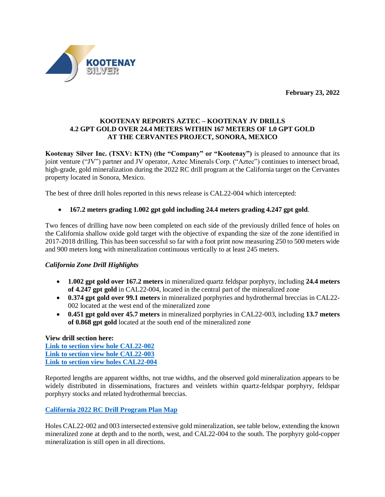**February 23, 2022**



# **KOOTENAY REPORTS AZTEC – KOOTENAY JV DRILLS 4.2 GPT GOLD OVER 24.4 METERS WITHIN 167 METERS OF 1.0 GPT GOLD AT THE CERVANTES PROJECT, SONORA, MEXICO**

**Kootenay Silver Inc. (TSXV: KTN) (the "Company" or "Kootenay")** is pleased to announce that its joint venture ("JV") partner and JV operator, Aztec Minerals Corp. ("Aztec") continues to intersect broad, high-grade, gold mineralization during the 2022 RC drill program at the California target on the Cervantes property located in Sonora, Mexico.

The best of three drill holes reported in this news release is CAL22-004 which intercepted:

# • **167.2 meters grading 1.002 gpt gold including 24.4 meters grading 4.247 gpt gold**.

Two fences of drilling have now been completed on each side of the previously drilled fence of holes on the California shallow oxide gold target with the objective of expanding the size of the zone identified in 2017-2018 drilling. This has been successful so far with a foot print now measuring 250 to 500 meters wide and 900 meters long with mineralization continuous vertically to at least 245 meters.

## *California Zone Drill Highlights*

- **1.002 gpt gold over 167.2 meters** in mineralized quartz feldspar porphyry, including **24.4 meters of 4.247 gpt gold** in CAL22-004, located in the central part of the mineralized zone
- **0.374 gpt gold over 99.1 meters** in mineralized porphyries and hydrothermal breccias in CAL22- 002 located at the west end of the mineralized zone
- **0.451 gpt gold over 45.7 meters** in mineralized porphyries in CAL22-003, including **13.7 meters of 0.868 gpt gold** located at the south end of the mineralized zone

**View drill section here: [Link to section view hole CAL22-002](https://www.kootenaysilver.com/assets/img/nr/CAL22-002.pdf) [Link to section view hole CAL22-003](https://www.kootenaysilver.com/assets/img/nr/CAL22-003.pdf) [Link to section view holes CAL22-004](https://www.kootenaysilver.com/assets/img/nr/CAL22-004.pdf)**

Reported lengths are apparent widths, not true widths, and the observed gold mineralization appears to be widely distributed in disseminations, fractures and veinlets within quartz-feldspar porphyry, feldspar porphyry stocks and related hydrothermal breccias.

**[California 2022 RC Drill Program Plan Map](https://www.kootenaysilver.com/assets/img/nr/MAD-CER-DRILLING.jpg)**

Holes CAL22-002 and 003 intersected extensive gold mineralization, see table below, extending the known mineralized zone at depth and to the north, west, and CAL22-004 to the south. The porphyry gold-copper mineralization is still open in all directions.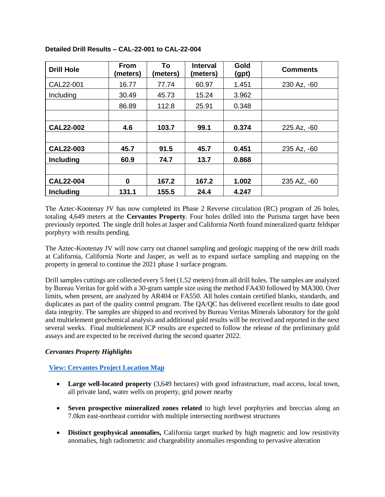| <b>Drill Hole</b> | <b>From</b><br>(meters) | To<br>(meters) | <b>Interval</b><br>(meters) | Gold<br>(gpt) | <b>Comments</b> |
|-------------------|-------------------------|----------------|-----------------------------|---------------|-----------------|
| CAL22-001         | 16.77                   | 77.74          | 60.97                       | 1.451         | 230 Az, -60     |
| Including         | 30.49                   | 45.73          | 15.24                       | 3.962         |                 |
|                   | 86.89                   | 112.8          | 25.91                       | 0.348         |                 |
|                   |                         |                |                             |               |                 |
| <b>CAL22-002</b>  | 4.6                     | 103.7          | 99.1                        | 0.374         | 225 Az, -60     |
|                   |                         |                |                             |               |                 |
| <b>CAL22-003</b>  | 45.7                    | 91.5           | 45.7                        | 0.451         | 235 Az, -60     |
| <b>Including</b>  | 60.9                    | 74.7           | 13.7                        | 0.868         |                 |
|                   |                         |                |                             |               |                 |
| <b>CAL22-004</b>  | $\bf{0}$                | 167.2          | 167.2                       | 1.002         | 235 AZ, -60     |
| <b>Including</b>  | 131.1                   | 155.5          | 24.4                        | 4.247         |                 |

**Detailed Drill Results – CAL-22-001 to CAL-22-004**

The Aztec-Kootenay JV has now completed its Phase 2 Reverse circulation (RC) program of 26 holes, totaling 4,649 meters at the **Cervantes Property**. Four holes drilled into the Purisma target have been previously reported. The single drill holes at Jasper and California North found mineralized quartz feldspar porphyry with results pending.

The Aztec-Kootenay JV will now carry out channel sampling and geologic mapping of the new drill roads at California, California Norte and Jasper, as well as to expand surface sampling and mapping on the property in general to continue the 2021 phase 1 surface program.

Drill samples cuttings are collected every 5 feet (1.52 meters) from all drill holes. The samples are analyzed by Bureau Veritas for gold with a 30-gram sample size using the method FA430 followed by MA300. Over limits, when present, are analyzed by AR404 or FA550. All holes contain certified blanks, standards, and duplicates as part of the quality control program. The QA/QC has delivered excellent results to date good data integrity. The samples are shipped to and received by Bureau Veritas Minerals laboratory for the gold and multielement geochemical analysis and additional gold results will be received and reported in the next several weeks. Final multielement ICP results are expected to follow the release of the preliminary gold assays and are expected to be received during the second quarter 2022.

# *Cervantes Property Highlights*

# **[View: Cervantes Project Location Map](https://www.kootenaysilver.com/assets/img/nr/Loc-Map.jpg)**

- **Large well-located property** (3,649 hectares) with good infrastructure, road access, local town, all private land, water wells on property, grid power nearby
- **Seven prospective mineralized zones related** to high level porphyries and breccias along an 7.0km east-northeast corridor with multiple intersecting northwest structures
- **Distinct geophysical anomalies,** California target marked by high magnetic and low resistivity anomalies, high radiometric and chargeability anomalies responding to pervasive alteration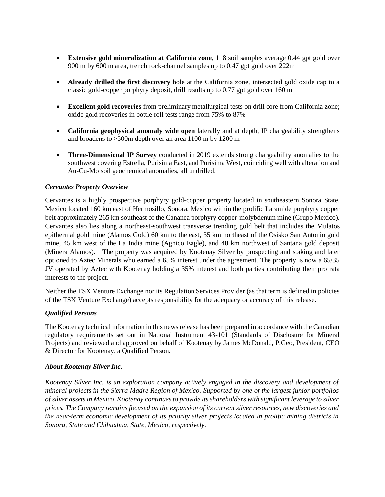- **Extensive gold mineralization at California zone**, 118 soil samples average 0.44 gpt gold over 900 m by 600 m area, trench rock-channel samples up to 0.47 gpt gold over 222m
- **Already drilled the first discovery** hole at the California zone, intersected gold oxide cap to a classic gold-copper porphyry deposit, drill results up to 0.77 gpt gold over 160 m
- **Excellent gold recoveries** from preliminary metallurgical tests on drill core from California zone; oxide gold recoveries in bottle roll tests range from 75% to 87%
- **California geophysical anomaly wide open** laterally and at depth, IP chargeability strengthens and broadens to >500m depth over an area 1100 m by 1200 m
- **Three-Dimensional IP Survey** conducted in 2019 extends strong chargeability anomalies to the southwest covering Estrella, Purisima East, and Purisima West, coinciding well with alteration and Au-Cu-Mo soil geochemical anomalies, all undrilled.

# *Cervantes Property Overview*

Cervantes is a highly prospective porphyry gold-copper property located in southeastern Sonora State, Mexico located 160 km east of Hermosillo, Sonora, Mexico within the prolific Laramide porphyry copper belt approximately 265 km southeast of the Cananea porphyry copper-molybdenum mine (Grupo Mexico). Cervantes also lies along a northeast-southwest transverse trending gold belt that includes the Mulatos epithermal gold mine (Alamos Gold) 60 km to the east, 35 km northeast of the Osisko San Antonio gold mine, 45 km west of the La India mine (Agnico Eagle), and 40 km northwest of Santana gold deposit (Minera Alamos). The property was acquired by Kootenay Silver by prospecting and staking and later optioned to Aztec Minerals who earned a 65% interest under the agreement. The property is now a 65/35 JV operated by Aztec with Kootenay holding a 35% interest and both parties contributing their pro rata interests to the project.

Neither the TSX Venture Exchange nor its Regulation Services Provider (as that term is defined in policies of the TSX Venture Exchange) accepts responsibility for the adequacy or accuracy of this release.

## *Qualified Persons*

The Kootenay technical information in this news release has been prepared in accordance with the Canadian regulatory requirements set out in National Instrument 43-101 (Standards of Disclosure for Mineral Projects) and reviewed and approved on behalf of Kootenay by James McDonald, P.Geo, President, CEO & Director for Kootenay, a Qualified Person.

## *About Kootenay Silver Inc.*

*Kootenay Silver Inc. is an exploration company actively engaged in the discovery and development of mineral projects in the Sierra Madre Region of Mexico. Supported by one of the largest junior portfolios of silver assets in Mexico, Kootenay continues to provide its shareholders with significant leverage to silver prices. The Company remains focused on the expansion of its current silver resources, new discoveries and the near-term economic development of its priority silver projects located in prolific mining districts in Sonora, State and Chihuahua, State, Mexico, respectively.*